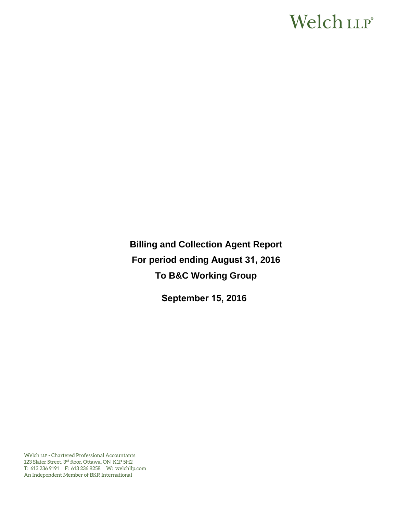# Welch LLP®

**Billing and Collection Agent Report For period ending August 31, 2016 To B&C Working Group** 

**September 15, 2016**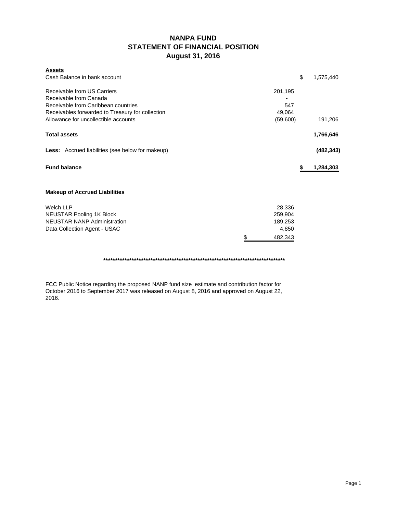# **NANPA FUND STATEMENT OF FINANCIAL POSITION August 31, 2016**

| <b>Assets</b><br>Cash Balance in bank account                 |               | \$<br>1,575,440 |
|---------------------------------------------------------------|---------------|-----------------|
| Receivable from US Carriers                                   | 201,195       |                 |
| Receivable from Canada<br>Receivable from Caribbean countries | 547           |                 |
| Receivables forwarded to Treasury for collection              | 49,064        |                 |
| Allowance for uncollectible accounts                          | (59,600)      | 191,206         |
| <b>Total assets</b>                                           |               | 1,766,646       |
| <b>Less:</b> Accrued liabilities (see below for makeup)       |               | (482, 343)      |
| <b>Fund balance</b>                                           |               | 1,284,303       |
| <b>Makeup of Accrued Liabilities</b>                          |               |                 |
| <b>Welch LLP</b>                                              | 28,336        |                 |
| <b>NEUSTAR Pooling 1K Block</b>                               | 259,904       |                 |
| <b>NEUSTAR NANP Administration</b>                            | 189,253       |                 |
| Data Collection Agent - USAC                                  | 4,850         |                 |
|                                                               | \$<br>482,343 |                 |

**\*\*\*\*\*\*\*\*\*\*\*\*\*\*\*\*\*\*\*\*\*\*\*\*\*\*\*\*\*\*\*\*\*\*\*\*\*\*\*\*\*\*\*\*\*\*\*\*\*\*\*\*\*\*\*\*\*\*\*\*\*\*\*\*\*\*\*\*\*\*\*\*\*\*\*\*\***

FCC Public Notice regarding the proposed NANP fund size estimate and contribution factor for October 2016 to September 2017 was released on August 8, 2016 and approved on August 22, 2016.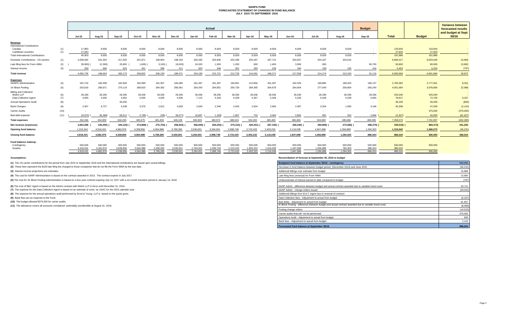#### **NANPA FUND FORECASTED STATEMENT OF CHANGES IN FUND BALANCE JULY 2015 TO SEPTEMBER 2016**

|                                          |            |                      |                      |                                   |                      |                      |                      |                      | Actual               |                      |                           |                      |                      |                          |                    | <b>Budget</b>      |                    |                   | <b>Variance between</b>                  |
|------------------------------------------|------------|----------------------|----------------------|-----------------------------------|----------------------|----------------------|----------------------|----------------------|----------------------|----------------------|---------------------------|----------------------|----------------------|--------------------------|--------------------|--------------------|--------------------|-------------------|------------------------------------------|
|                                          |            |                      |                      |                                   |                      |                      |                      |                      |                      |                      |                           |                      |                      |                          |                    |                    |                    |                   | forecasted results<br>and budget at Sept |
|                                          |            | <b>Jul-15</b>        | Aug-15               | Sep-15                            | Oct-15               | <b>Nov-15</b>        | <b>Dec-15</b>        | $Jan-16$             | Feb-16               | Mar-16               | Apr-16                    | Mav-16               | <b>Jun-16</b>        | Jul-16                   | Aug-16             | Sep-16             | <b>Total</b>       | <b>Budget</b>     | 30/16                                    |
| Revenue                                  |            |                      |                      |                                   |                      |                      |                      |                      |                      |                      |                           |                      |                      |                          |                    |                    |                    |                   |                                          |
| <b>International Contributions</b>       |            |                      |                      |                                   |                      |                      |                      |                      |                      |                      |                           |                      |                      |                          |                    |                    |                    |                   |                                          |
| Canada<br>Caribbean countries            | (1)<br>(1) | 17,860<br>27.943     | 8,930<br>$\sim$      | 8,930<br><b>Contract Contract</b> | 8,930<br>$\sim 100$  | 8,930<br>$\sim 100$  | 8,930                | 8,930<br>$\sim$      | 8,929<br>$\sim$      | 8,929<br>$\sim$      | 8,929<br>$\sim$ 100 $\mu$ | 8,929<br>$\sim$      | 8,929<br>$\sim 100$  | 8,929<br>$\sim$          | 8,929<br>$\sim$    | $\sim$             | 133,943<br>27,943  | 133,943<br>27,943 |                                          |
| <b>Total International Contributions</b> |            | 45,803               | 8.930                | 8,930                             | 8,930                | 8,930                | 8.930                | 8,930                | 8.929                | 8,929                | 8.929                     | 8.929                | 8.929                | 8.929                    | 8.929              | $\sim$             | 161.886            | 161,886           |                                          |
| Domestic Contributions - US carriers     | (1)        | 4,038,482            | 201,264              | 217,020                           | 201,871              | 199,904              | 198,150              | 200,430              | 204,946              | 202,299              | 204,297                   | 187,714              | 204,837              | 204,187                  | 204,016            |                    | 6,669,417          | 6,653,548         | 15,869                                   |
| Late filing fees for Form 499A           | (2)        | 28,900)              | 12,300               | 33,600                            | 1,600)               | 3,100)               | 18,020)              | 24,320               | 1,500                | 1,200                | 600                       | 1,400                | 3,500                | 900                      |                    | 90,700             | 93,800             | 80,000            | 13,800                                   |
| Interest income                          | (3)        | 350                  | 660                  | 623                               | 401                  | 396                  | 411                  | 503                  | 346                  | 301                  | 265                       | 228                  | 240                  | 158                      | 155                | 416                | 5,453              | 6,250             | (797)                                    |
| <b>Total revenue</b>                     |            | 4.055.735            | 198,554              | 260,173                           | 209,602              | 206,130              | 189,471              | 234,183              | 215,721              | 212,729              | 214,091                   | 198,271              | 217,506              | 214.174                  | 213,100            | 91.116             | 6.930.556          | 6.901.684         | 28,872                                   |
| <b>Expenses</b>                          |            |                      |                      |                                   |                      |                      |                      |                      |                      |                      |                           |                      |                      |                          |                    |                    |                    |                   |                                          |
| <b>NANPA Administration</b>              | (4)        | 181,724              | 183,408              | 182,926                           | 182,999              | 181,497              | 184,095              | 181,497              | 181,497              | 184,801              | 212,850                   | 181,497              | 182,326              | 189,885                  | 189,253            | 185,137            | 2,785,392          | 2,777,061         | 8,331                                    |
| 1K Block Pooling                         | (5)        | 253,919              | 266,971              | 270,119                           | 268,620              | 264,362              | 266,061              | 264,343              | 264,801              | 265,729              | 284,393                   | 264,679              | 264,904              | 277,549                  | 259,904            | 265,240            | 4,001,594          | 3,978,606         | 22,988                                   |
| <b>Billing and Collection</b>            |            |                      |                      |                                   |                      |                      |                      |                      |                      |                      |                           |                      |                      |                          |                    |                    |                    |                   |                                          |
| Welch LLP<br>Data Collection Agent       | (6)<br>(7) | 28,336<br>4.935      | 28,336<br>4,935      | 28,336<br>4,952                   | 28,336<br>4.935      | 28,336<br>4,935      | 28,336<br>4,935      | 28,336<br>7,115      | 28,336<br>5,328      | 28,336<br>5,328      | 28,336<br>5,357           | 28,336<br>5,328      | 28,336<br>5,328      | 28,336<br>5.328          | 28,336<br>5.328    | 28,336<br>4.850    | 425,040<br>78,917  | 425,040<br>72,750 | 6,167                                    |
| <b>Annual Operations Audit</b>           | (8)        | $\sim$               | $\sim$               | 45,200                            | $\sim$ $-$           | $\sim$ $-$           | $\sim$               | $\sim$               |                      | $\sim$               | $\sim$                    |                      | $\sim$               | $\overline{\phantom{a}}$ |                    | $\sim$             | 45,200             | 46,000            | (800)                                    |
| <b>Bank Charges</b>                      | (9)        | 2.407                | 6,727                | 4,248                             | 3.375                | 2,912                | 3.055                | 2,645                | 2.340                | 2,043                | 2.624                     | 2.565                | 2,097                | 3.204                    | 1.950              | 3.166              | 45,358             | 47,500            | (2, 142)                                 |
| Carrier Audits                           | (10)       | $\sim$               | $\sim$               | $\sim$                            | $\sim$               | $\sim$               | $\sim$               |                      |                      |                      |                           |                      |                      |                          |                    |                    |                    | 375,000           | (375,000)                                |
| Bad debt expense                         | (11)       | 18.975)              | 56.368)              | 68,512                            | 4,795)               | 209)                 | 38,377)              | 16,897               | 1,328)               | 1,807                | 732                       | 3,060                | 2.855                | 681                      | 915                | 2.666              | 21,927)            | 40,000            | (61, 927)                                |
| <b>Total expenses</b>                    |            | 452,346              | 434,009              | 604,293                           | 483,470              | 481,833              | 448,105              | 500,833              | 480,974              | 488,044              | 534,292                   | 485,465              | 485,846              | 504,983                  | 485,686            | 489,395            | 7,359,574          | 7,761,957         | (402, 383)                               |
| Net revenue (expenses)                   |            | 3,603,389            | 235,455)             | 344,120)                          | 273,868)             | 275,703)             | 258,634)             | 266,650)             | 265,253)             | 275,315)             | 320,201)                  | 287,194) (           | 268,340) (           | 290,809)                 | 272,586)           | 398,279)           | 429,018)           | 860,273)          | 431,255                                  |
| <b>Opening fund balance</b>              |            | 1,315,042            | 4,918,431            | 4.682.976                         | 4.338.856            | 4.064.988            | 3,789,285            | 3,530,651            | 3.264.001            | 2.998.748            | 2,723,433                 | 2,403,232            | 2,116,038            | 1,847,698                | 1,556,889          | 1,284,303          | 1,315,042          | 1,360,273         | (45, 231)                                |
| <b>Closing fund balance</b>              |            | 4.918.431            | 4,682,976            | 4.338.856                         | 4,064,988            | 3,789,285            | 3.530.651            | 3.264.001            | 2.998.748            | 2,723,433            | 2,403,232                 | 2,116,038            | 1,847,698            | 1.556.889                | 1.284.303          | 886.024            | 886.024            | 500,000           | 386,024                                  |
|                                          |            |                      |                      |                                   |                      |                      |                      |                      |                      |                      |                           |                      |                      |                          |                    |                    |                    |                   |                                          |
| Fund balance makeup:                     |            |                      |                      |                                   |                      |                      |                      |                      |                      |                      |                           |                      |                      |                          |                    |                    |                    |                   |                                          |
| Contingency<br>Surplus                   |            | 500,000<br>4.418.431 | 500,000<br>4.182.976 | 500,000<br>3.838.856              | 500,000<br>3.564.988 | 500,000<br>3.289.285 | 500,000<br>3.030.651 | 500,000<br>2.764.001 | 500,000<br>2.498.748 | 500,000<br>2,223,433 | 500,000<br>1.903.232      | 500,000<br>1.616.038 | 500,000<br>1.347.698 | 500,000<br>1.056.889     | 500,000<br>784.303 | 500,000<br>386.024 | 500,000<br>386,024 | 500,000           |                                          |
|                                          |            | 4.918.431            | 4.682.976            | 4.338.856                         | 4.064.988            | 3.789.285            | 3.530.651            | 3.264.001            | 2.998.748            | 2.723.433            | 2.403.232                 | 2.116.038            | 1.847.698            | 1.556.889                | 1.284.303          | 886.024            | 886.024            | 500,000           |                                          |

**(1)** The US carrier contributions for the period from July 2015 to September 2016 and the International contributions are based upon actual billings.

(2) These fees represent the \$100 late filing fee charged to those companies that do not file the Form 499A by the due date.

**(3)** Interest income projections are estimates

**(4)** The cost for NANP Administration is based on the contract awarded in 2013. The contract expires in July 2017.

(5) The cost for 1K Block Pooling Administration is based on a four-year contract expiring July 14, 2017 with a six-month transition period to January 14, 2018.

**(6)** The cost of B&C Agent is based on the interim contract with Welch LLP in force until December 31, 2016.

**(7)** The expense for the Data Collection Agent is based on an estimate of costs by USAC for the 2015 calendar year.

**(8)** The expense for the annual operations audit performed by Ernst & Young LLP is based on the quote given.

**(9)** Bank fees are an expense to the Fund.

**(10)** The budget allowed \$375,000 for carrier audits.

**(11)** The allowance covers all accounts considered potentially uncollectible at August 31, 2016.

**Assumptions: Reconciliation of forecast at September 30, 2016 to budget**

| Budgeted fund balance at September 30/16 - contingency                                                | 500,000   |
|-------------------------------------------------------------------------------------------------------|-----------|
| Decrease in fund balance between budget period (December 2014) and June 2015                          | (45, 231) |
| Additional billings over estimate from budget                                                         | 15,869    |
| Late filing fees (reversal) for Form 499A                                                             | 13,800    |
| Underestimate of interest earned to date compared to budget                                           | (797)     |
| NANP Admin - difference between budget and actual contract awarded due to variable travel costs       | 20,711    |
| NANP Admin - change orders issued                                                                     | (29, 042) |
| Additional billings from B & C Agent due to renewal of contract                                       |           |
| Data Collection fees - Adjustment to actual from budget                                               | (6, 167)  |
| Bad debts - Adjustment to actual from budget                                                          | 61,927    |
| IK Block Pooling - difference between budget and actual contract awarded due to variable travel costs | (8, 465)  |
| Pooling change orders                                                                                 | (14, 523) |
| Carrier audits that will not be performed                                                             | 375,000   |
| Operations Audit - Adjustment to actual from budget                                                   | 800       |
| Bank fees - Adjustment to actual from budget                                                          | 2,142     |
| Forecasted fund balance at September 30/16                                                            | 886,024   |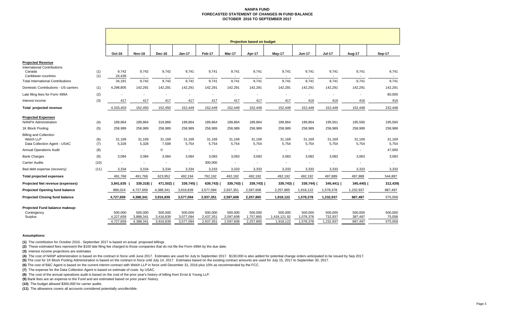#### **NANPA FUND FORECASTED STATEMENT OF CHANGES IN FUND BALANCE OCTOBER 2016 TO SEPTEMBER 2017**

|                                                                                          | <b>Projection based on budget</b> |                                   |                                   |                                   |                                   |                                   |                                   |                                      |                                   |                                 |                               |                              |
|------------------------------------------------------------------------------------------|-----------------------------------|-----------------------------------|-----------------------------------|-----------------------------------|-----------------------------------|-----------------------------------|-----------------------------------|--------------------------------------|-----------------------------------|---------------------------------|-------------------------------|------------------------------|
|                                                                                          | Oct-16                            | <b>Nov-16</b>                     | Dec-16                            | <b>Jan-17</b>                     | Feb-17                            | Mar-17                            | Apr-17                            | May-17                               | <b>Jun-17</b>                     | <b>Jul-17</b>                   | Aug-17                        | Sep-17                       |
| <b>Projected Revenue</b>                                                                 |                                   |                                   |                                   |                                   |                                   |                                   |                                   |                                      |                                   |                                 |                               |                              |
| <b>International Contributions</b><br>Canada<br>(1)<br>Caribbean countries<br>(1)        | 9,742<br>24,439                   | 9,742<br>$\sim$                   | 9,742                             | 9,741<br>$\sim$                   | 9,741                             | 9,741                             | 9,741                             | 9,741                                | 9,741<br>$\overline{\phantom{a}}$ | 9,741                           | 9,741<br>$\sim$               | 9,741                        |
| <b>Total International Contributions</b>                                                 | 34,181                            | 9.742                             | 9,742                             | 9.741                             | 9.741                             | 9,741                             | 9,741                             | 9,741                                | 9.741                             | 9,741                           | 9,741                         | 9,741                        |
| Domestic Contributions - US carriers<br>(1)                                              | 4,298,805                         | 142,291                           | 142,291                           | 142,291                           | 142,291                           | 142,291                           | 142,291                           | 142,291                              | 142,291                           | 142,291                         | 142,291                       | 142,291                      |
| (2)<br>Late filing fees for Form 499A                                                    |                                   |                                   |                                   |                                   |                                   | ٠                                 |                                   |                                      |                                   |                                 |                               | 80,000                       |
| (3)<br>Interest income                                                                   | 417                               | 417                               | 417                               | 417                               | 417                               | 417                               | 417                               | 417                                  | 416                               | 416                             | 416                           | 416                          |
| Total projected revenue                                                                  | 4,333,403                         | 152,450                           | 152,450                           | 152,449                           | 152,449                           | 152,449                           | 152,449                           | 152,449                              | 152,448                           | 152,448                         | 152,448                       | 232,448                      |
| <b>Projected Expenses</b><br><b>NANPA Administration</b><br>(4)                          | 189.864                           | 189,864                           | 319,868                           | 189,864                           | 189,864                           | 189,864                           | 189,864                           | 189,864                              | 189,864                           | 195,561                         | 195,560                       | 195,560                      |
| 1K Block Pooling<br>(5)                                                                  | 258,989                           | 258,989                           | 258,989                           | 258,989                           | 258,989                           | 258,989                           | 258,989                           | 258,989                              | 258,989                           | 258,989                         | 258,989                       | 258,988                      |
| <b>Billing and Collection</b><br>Welch LLP<br>(6)<br>Data Collection Agent - USAC<br>(7) | 31,169<br>5,328                   | 31,169<br>5,328                   | 31,169<br>7,508                   | 31,169<br>5,754                   | 31,169<br>5,754                   | 31,169<br>5,754                   | 31,169<br>5,754                   | 31,169<br>5,754                      | 31,169<br>5,754                   | 31,169<br>5,754                 | 31,169<br>5,754               | 31,169<br>5,754              |
| <b>Annual Operations Audit</b><br>(8)                                                    | ÷,                                | $\sim$                            | $\mathbf 0$                       | $\sim$                            | $\overline{\phantom{a}}$          | $\blacksquare$                    |                                   |                                      | $\blacksquare$                    | $\overline{\phantom{a}}$        | $\sim$                        | 47,000                       |
| (9)<br><b>Bank Charges</b>                                                               | 3,084                             | 3,084                             | 3,084                             | 3,084                             | 3,083                             | 3,083                             | 3,083                             | 3,083                                | 3,083                             | 3,083                           | 3,083                         | 3,083                        |
| <b>Carrier Audits</b><br>(10)                                                            | $\blacksquare$                    | $\sim$                            | $\blacksquare$                    | $\sim$                            | 300,000                           | $\blacksquare$                    | $\overline{\phantom{a}}$          | $\sim$                               | $\overline{\phantom{a}}$          | $\blacksquare$                  | $\overline{\phantom{a}}$      | $\sim$                       |
| (11)<br>Bad debt expense (recovery)                                                      | 3,334                             | 3,334                             | 3,334                             | 3,334                             | 3,333                             | 3,333                             | 3,333                             | 3,333                                | 3,333                             | 3,333                           | 3,333                         | 3,333                        |
| <b>Total projected expenses</b>                                                          | 491,768                           | 491,768                           | 623,952                           | 492,194                           | 792,192                           | 492,192                           | 492,192                           | 492,192                              | 492,192                           | 497,889                         | 497,888                       | 544,887                      |
| Projected Net revenue (expenses)                                                         | 3,841,635                         | 339,318)                          | 471,502)                          | 339,745)                          | 639,743)                          | 339,743)                          | 339,743) (                        | 339,743)                             | 339,744) (                        | 345,441) (                      | 345,440) (                    | 312,439)                     |
| <b>Projected Opening fund balance</b>                                                    | 886,024                           | 4,727,659                         | 4,388,341                         | 3,916,839                         | 3,577,094                         | 2,937,351                         | 2,597,608                         | 2,257,865                            | 1,918,122                         | 1,578,378                       | 1,232,937                     | 887,497                      |
| <b>Projected Closing fund balance</b>                                                    | 4,727,659                         | 4,388,341                         | 3,916,839                         | 3,577,094                         | 2,937,351                         | 2,597,608                         | 2,257,865                         | 1,918,122                            | 1,578,378                         | 1,232,937                       | 887,497                       | 575,058                      |
| Projected Fund balance makeup:<br>Contingency<br>Surplus                                 | 500,000<br>4,227,659<br>4,727,659 | 500,000<br>3,888,341<br>4,388,341 | 500,000<br>3,416,839<br>3,916,839 | 500,000<br>3,077,094<br>3,577,094 | 500,000<br>2,437,351<br>2,937,351 | 500,000<br>2,097,608<br>2,597,608 | 500,000<br>1,757,865<br>2,257,865 | 500,000<br>1,418,121.92<br>1,918,122 | 500,000<br>1,078,378<br>1,578,378 | 500,000<br>732,937<br>1,232,937 | 500,000<br>387,497<br>887,497 | 500,000<br>75,058<br>575,058 |

#### **Assumptions:**

**(1)** The contribution for October 2016 - September 2017 is based on actual proposed billings

**(2)** These estimated fees represent the \$100 late filing fee charged to those companies that do not file the Form 499A by the due date.

**(3)** Interest income projections are estimates

(4) The cost of NANP administration is based on the contract in force until June 2017. Estimates are used for July to September 2017. \$130,000 is also added for potential change orders anticipated to be issued by Sep 2017.

**(5)** The cost for 1K Block Pooling Administration is based on the contract in force until July 14, 2017. Estimates based on the existing contract amounts are used for July 15, 2017 to September 30, 2017.

**(6)** The cost of B&C Agent is based on the current interim contract with Welch LLP in force until December 31, 2016 plus 10% as recommended by the FCC.

**(7)** The expense for the Data Collection Agent is based on estimate of costs by USAC.

**(8)** The cost of the annual operations audit is based on the cost of the prior year's history of billing from Ernst & Young LLP.

**(9)** Bank fees are an expense to the Fund and are estimated based on prior years' history.

**(10)** The budget allowed \$300,000 for carrier audits.

**(11)** The allowance covers all accounts considered potentially uncollectible.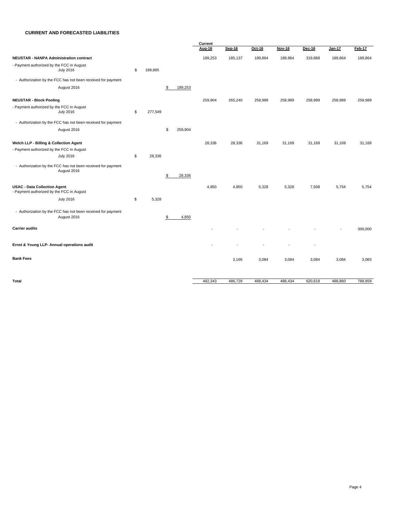#### **CURRENT AND FORECASTED LIABILITIES**

|                                                                                  |               |               | Current |               |         |               |          |         |         |  |  |
|----------------------------------------------------------------------------------|---------------|---------------|---------|---------------|---------|---------------|----------|---------|---------|--|--|
|                                                                                  |               |               | Aug-16  | <b>Sep-16</b> | Oct-16  | <b>Nov-16</b> | $Dec-16$ | Jan-17  | Feb-17  |  |  |
| <b>NEUSTAR - NANPA Administration contract</b>                                   |               |               | 189,253 | 185,137       | 189,864 | 189,864       | 319,868  | 189,864 | 189,864 |  |  |
| - Payment authorized by the FCC in August<br><b>July 2016</b>                    | \$<br>189,885 |               |         |               |         |               |          |         |         |  |  |
| - Authorization by the FCC has not been received for payment                     |               |               |         |               |         |               |          |         |         |  |  |
| August 2016                                                                      |               | \$<br>189,253 |         |               |         |               |          |         |         |  |  |
| <b>NEUSTAR - Block Pooling</b>                                                   |               |               | 259,904 | 265,240       | 258,989 | 258,989       | 258,989  | 258,989 | 258,989 |  |  |
| - Payment authorized by the FCC in August<br><b>July 2016</b>                    | \$<br>277,549 |               |         |               |         |               |          |         |         |  |  |
| - Authorization by the FCC has not been received for payment                     |               |               |         |               |         |               |          |         |         |  |  |
| August 2016                                                                      |               | \$<br>259,904 |         |               |         |               |          |         |         |  |  |
| Welch LLP - Billing & Collection Agent                                           |               |               | 28,336  | 28,336        | 31,169  | 31,169        | 31,169   | 31,169  | 31,169  |  |  |
| - Payment authorized by the FCC in August                                        |               |               |         |               |         |               |          |         |         |  |  |
| <b>July 2016</b>                                                                 | \$<br>28,336  |               |         |               |         |               |          |         |         |  |  |
| - Authorization by the FCC has not been received for payment<br>August 2016      |               | \$<br>28,336  |         |               |         |               |          |         |         |  |  |
| <b>USAC - Data Collection Agent</b><br>- Payment authorized by the FCC in August |               |               | 4,850   | 4,850         | 5,328   | 5,328         | 7,508    | 5,754   | 5,754   |  |  |
| <b>July 2016</b>                                                                 | \$<br>5,328   |               |         |               |         |               |          |         |         |  |  |
| - Authorization by the FCC has not been received for payment<br>August 2016      |               | \$<br>4,850   |         |               |         |               |          |         |         |  |  |
| <b>Carrier audits</b>                                                            |               |               |         |               |         |               |          |         | 300,000 |  |  |
| Ernst & Young LLP- Annual operations audit                                       |               |               |         |               |         |               |          |         |         |  |  |
| <b>Bank Fees</b>                                                                 |               |               |         | 3,166         | 3,084   | 3,084         | 3,084    | 3,084   | 3,083   |  |  |
| <b>Total</b>                                                                     |               |               | 482,343 | 486,729       | 488,434 | 488,434       | 620,618  | 488,860 | 788,859 |  |  |